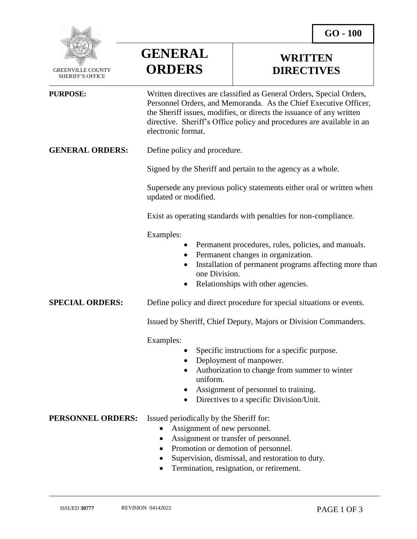

 GREENVILLE COUNTY SHERIFF'S OFFICE



## **WRITTEN DIRECTIVES**

| <b>PURPOSE:</b>        | Written directives are classified as General Orders, Special Orders,<br>Personnel Orders, and Memoranda. As the Chief Executive Officer,<br>the Sheriff issues, modifies, or directs the issuance of any written<br>directive. Sheriff's Office policy and procedures are available in an<br>electronic format. |
|------------------------|-----------------------------------------------------------------------------------------------------------------------------------------------------------------------------------------------------------------------------------------------------------------------------------------------------------------|
| <b>GENERAL ORDERS:</b> | Define policy and procedure.                                                                                                                                                                                                                                                                                    |
|                        | Signed by the Sheriff and pertain to the agency as a whole.                                                                                                                                                                                                                                                     |
|                        | Supersede any previous policy statements either oral or written when<br>updated or modified.                                                                                                                                                                                                                    |
|                        | Exist as operating standards with penalties for non-compliance.                                                                                                                                                                                                                                                 |
|                        | Examples:<br>Permanent procedures, rules, policies, and manuals.<br>Permanent changes in organization.<br>Installation of permanent programs affecting more than<br>one Division.<br>Relationships with other agencies.                                                                                         |
| <b>SPECIAL ORDERS:</b> | Define policy and direct procedure for special situations or events.                                                                                                                                                                                                                                            |
|                        | Issued by Sheriff, Chief Deputy, Majors or Division Commanders.                                                                                                                                                                                                                                                 |
|                        | Examples:<br>Specific instructions for a specific purpose.<br>Deployment of manpower.<br>Authorization to change from summer to winter<br>uniform.<br>Assignment of personnel to training.<br>Directives to a specific Division/Unit.                                                                           |
| PERSONNEL ORDERS:      | Issued periodically by the Sheriff for:<br>Assignment of new personnel.<br>Assignment or transfer of personnel.<br>Promotion or demotion of personnel.<br>Supervision, dismissal, and restoration to duty.                                                                                                      |

Termination, resignation, or retirement.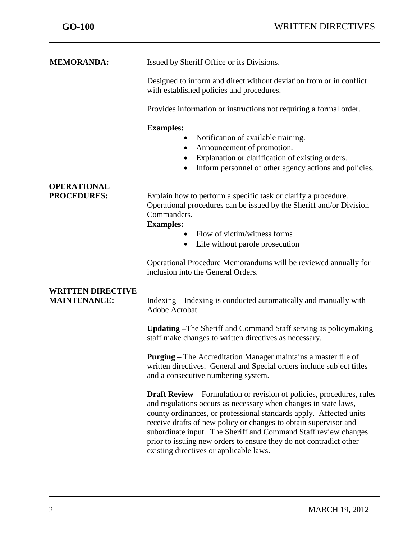j

| <b>MEMORANDA:</b>                               | Issued by Sheriff Office or its Divisions.                                                                                                                                                                                                                                                                                                                                                                                                                                    |
|-------------------------------------------------|-------------------------------------------------------------------------------------------------------------------------------------------------------------------------------------------------------------------------------------------------------------------------------------------------------------------------------------------------------------------------------------------------------------------------------------------------------------------------------|
|                                                 | Designed to inform and direct without deviation from or in conflict<br>with established policies and procedures.                                                                                                                                                                                                                                                                                                                                                              |
|                                                 | Provides information or instructions not requiring a formal order.                                                                                                                                                                                                                                                                                                                                                                                                            |
|                                                 | <b>Examples:</b><br>Notification of available training.<br>Announcement of promotion.<br>$\bullet$<br>Explanation or clarification of existing orders.<br>$\bullet$<br>Inform personnel of other agency actions and policies.<br>$\bullet$                                                                                                                                                                                                                                    |
| <b>OPERATIONAL</b><br><b>PROCEDURES:</b>        | Explain how to perform a specific task or clarify a procedure.<br>Operational procedures can be issued by the Sheriff and/or Division<br>Commanders.<br><b>Examples:</b><br>Flow of victim/witness forms<br>$\bullet$<br>• Life without parole prosecution                                                                                                                                                                                                                    |
|                                                 | Operational Procedure Memorandums will be reviewed annually for<br>inclusion into the General Orders.                                                                                                                                                                                                                                                                                                                                                                         |
| <b>WRITTEN DIRECTIVE</b><br><b>MAINTENANCE:</b> | Indexing – Indexing is conducted automatically and manually with<br>Adobe Acrobat.                                                                                                                                                                                                                                                                                                                                                                                            |
|                                                 | <b>Updating</b> –The Sheriff and Command Staff serving as policymaking<br>staff make changes to written directives as necessary.                                                                                                                                                                                                                                                                                                                                              |
|                                                 | <b>Purging</b> – The Accreditation Manager maintains a master file of<br>written directives. General and Special orders include subject titles<br>and a consecutive numbering system.                                                                                                                                                                                                                                                                                         |
|                                                 | <b>Draft Review</b> – Formulation or revision of policies, procedures, rules<br>and regulations occurs as necessary when changes in state laws,<br>county ordinances, or professional standards apply. Affected units<br>receive drafts of new policy or changes to obtain supervisor and<br>subordinate input. The Sheriff and Command Staff review changes<br>prior to issuing new orders to ensure they do not contradict other<br>existing directives or applicable laws. |